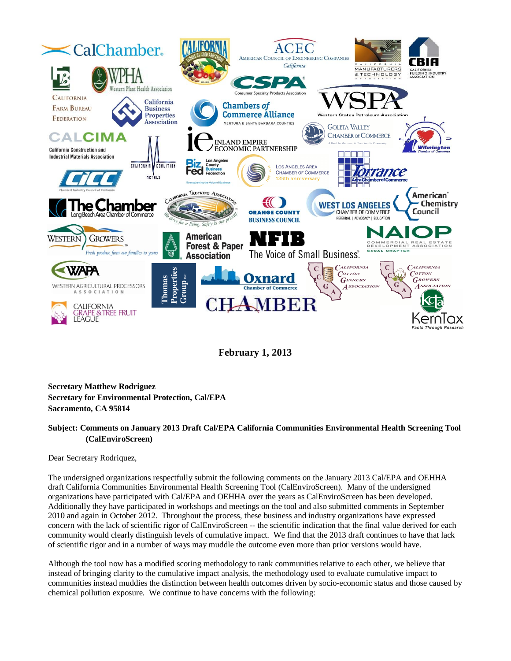

**February 1, 2013**

**Secretary Matthew Rodriguez Secretary for Environmental Protection, Cal/EPA Sacramento, CA 95814**

## **Subject: Comments on January 2013 Draft Cal/EPA California Communities Environmental Health Screening Tool (CalEnviroScreen)**

Dear Secretary Rodriquez,

The undersigned organizations respectfully submit the following comments on the January 2013 Cal/EPA and OEHHA draft California Communities Environmental Health Screening Tool (CalEnviroScreen). Many of the undersigned organizations have participated with Cal/EPA and OEHHA over the years as CalEnviroScreen has been developed. Additionally they have participated in workshops and meetings on the tool and also submitted comments in September 2010 and again in October 2012. Throughout the process, these business and industry organizations have expressed concern with the lack of scientific rigor of CalEnviroScreen -- the scientific indication that the final value derived for each community would clearly distinguish levels of cumulative impact. We find that the 2013 draft continues to have that lack of scientific rigor and in a number of ways may muddle the outcome even more than prior versions would have.

Although the tool now has a modified scoring methodology to rank communities relative to each other, we believe that instead of bringing clarity to the cumulative impact analysis, the methodology used to evaluate cumulative impact to communities instead muddies the distinction between health outcomes driven by socio-economic status and those caused by chemical pollution exposure. We continue to have concerns with the following: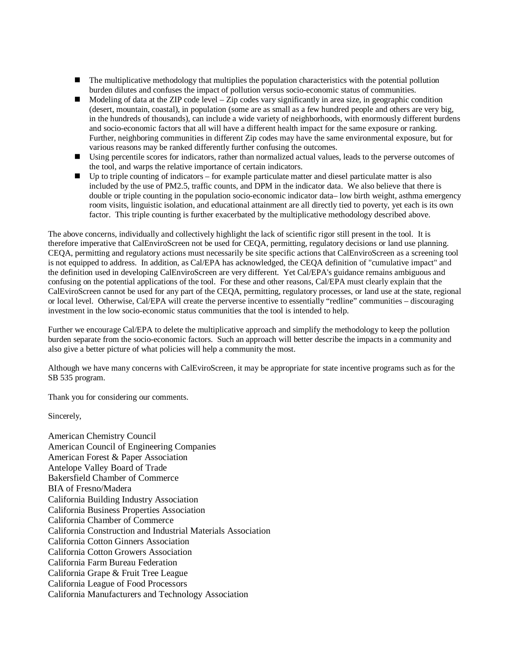- The multiplicative methodology that multiplies the population characteristics with the potential pollution burden dilutes and confuses the impact of pollution versus socio-economic status of communities.
- $\blacksquare$  Modeling of data at the ZIP code level Zip codes vary significantly in area size, in geographic condition (desert, mountain, coastal), in population (some are as small as a few hundred people and others are very big, in the hundreds of thousands), can include a wide variety of neighborhoods, with enormously different burdens and socio-economic factors that all will have a different health impact for the same exposure or ranking. Further, neighboring communities in different Zip codes may have the same environmental exposure, but for various reasons may be ranked differently further confusing the outcomes.
- Using percentile scores for indicators, rather than normalized actual values, leads to the perverse outcomes of the tool, and warps the relative importance of certain indicators.
- $\blacksquare$  Up to triple counting of indicators for example particulate matter and diesel particulate matter is also included by the use of PM2.5, traffic counts, and DPM in the indicator data. We also believe that there is double or triple counting in the population socio-economic indicator data– low birth weight, asthma emergency room visits, linguistic isolation, and educational attainment are all directly tied to poverty, yet each is its own factor. This triple counting is further exacerbated by the multiplicative methodology described above.

The above concerns, individually and collectively highlight the lack of scientific rigor still present in the tool. It is therefore imperative that CalEnviroScreen not be used for CEQA, permitting, regulatory decisions or land use planning. CEQA, permitting and regulatory actions must necessarily be site specific actions that CalEnviroScreen as a screening tool is not equipped to address. In addition, as Cal/EPA has acknowledged, the CEQA definition of "cumulative impact" and the definition used in developing CalEnviroScreen are very different. Yet Cal/EPA's guidance remains ambiguous and confusing on the potential applications of the tool. For these and other reasons, Cal/EPA must clearly explain that the CalEviroScreen cannot be used for any part of the CEQA, permitting, regulatory processes, or land use at the state, regional or local level. Otherwise, Cal/EPA will create the perverse incentive to essentially "redline" communities – discouraging investment in the low socio-economic status communities that the tool is intended to help.

Further we encourage Cal/EPA to delete the multiplicative approach and simplify the methodology to keep the pollution burden separate from the socio-economic factors. Such an approach will better describe the impacts in a community and also give a better picture of what policies will help a community the most.

Although we have many concerns with CalEviroScreen, it may be appropriate for state incentive programs such as for the SB 535 program.

Thank you for considering our comments.

Sincerely,

American Chemistry Council American Council of Engineering Companies American Forest & Paper Association Antelope Valley Board of Trade Bakersfield Chamber of Commerce BIA of Fresno/Madera California Building Industry Association California Business Properties Association California Chamber of Commerce California Construction and Industrial Materials Association California Cotton Ginners Association California Cotton Growers Association California Farm Bureau Federation California Grape & Fruit Tree League California League of Food Processors California Manufacturers and Technology Association